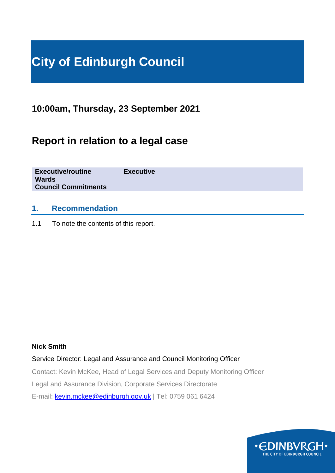# **City of Edinburgh Council**

**10:00am, Thursday, 23 September 2021**

# **Report in relation to a legal case**

**Executive/routine Executive Wards Council Commitments**

### **1. Recommendation**

1.1 To note the contents of this report.

#### **Nick Smith**

Service Director: Legal and Assurance and Council Monitoring Officer

Contact: Kevin McKee, Head of Legal Services and Deputy Monitoring Officer

Legal and Assurance Division, Corporate Services Directorate

E-mail: [kevin.mckee@edinburgh.gov.uk](mailto:kevin.mckee@edinburgh.gov.uk) | Tel: 0759 061 6424

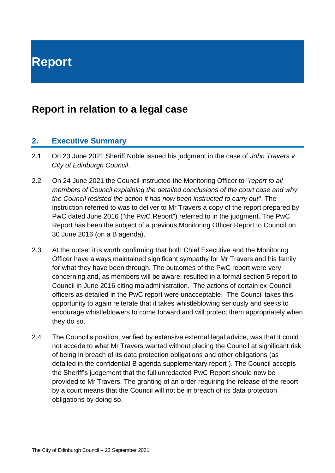**Report**

## **Report in relation to a legal case**

#### **2. Executive Summary**

- 2.1 On 23 June 2021 Sheriff Noble issued his judgment in the case of *John Travers v City of Edinburgh Council*.
- 2.2 On 24 June 2021 the Council instructed the Monitoring Officer to "*report to all members of Council explaining the detailed conclusions of the court case and why the Council resisted the action it has now been instructed to carry out*". The instruction referred to was to deliver to Mr Travers a copy of the report prepared by PwC dated June 2016 ("the PwC Report") referred to in the judgment. The PwC Report has been the subject of a previous Monitoring Officer Report to Council on 30 June 2016 (on a B agenda).
- 2.3 At the outset it is worth confirming that both Chief Executive and the Monitoring Officer have always maintained significant sympathy for Mr Travers and his family for what they have been through. The outcomes of the PwC report were very concerning and, as members will be aware, resulted in a formal section 5 report to Council in June 2016 citing maladministration. The actions of certain ex-Council officers as detailed in the PwC report were unacceptable. The Council takes this opportunity to again reiterate that it takes whistleblowing seriously and seeks to encourage whistleblowers to come forward and will protect them appropriately when they do so.
- 2.4 The Council's position, verified by extensive external legal advice, was that it could not accede to what Mr Travers wanted without placing the Council at significant risk of being in breach of its data protection obligations and other obligations (as detailed in the confidential B agenda supplementary report ). The Council accepts the Sheriff's judgement that the full unredacted PwC Report should now be provided to Mr Travers. The granting of an order requiring the release of the report by a court means that the Council will not be in breach of its data protection obligations by doing so.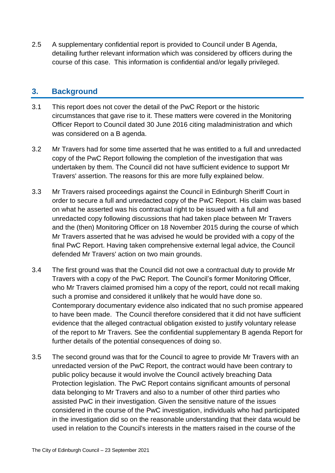2.5 A supplementary confidential report is provided to Council under B Agenda, detailing further relevant information which was considered by officers during the course of this case. This information is confidential and/or legally privileged.

#### **3. Background**

- 3.1 This report does not cover the detail of the PwC Report or the historic circumstances that gave rise to it. These matters were covered in the Monitoring Officer Report to Council dated 30 June 2016 citing maladministration and which was considered on a B agenda.
- 3.2 Mr Travers had for some time asserted that he was entitled to a full and unredacted copy of the PwC Report following the completion of the investigation that was undertaken by them. The Council did not have sufficient evidence to support Mr Travers' assertion. The reasons for this are more fully explained below.
- 3.3 Mr Travers raised proceedings against the Council in Edinburgh Sheriff Court in order to secure a full and unredacted copy of the PwC Report. His claim was based on what he asserted was his contractual right to be issued with a full and unredacted copy following discussions that had taken place between Mr Travers and the (then) Monitoring Officer on 18 November 2015 during the course of which Mr Travers asserted that he was advised he would be provided with a copy of the final PwC Report. Having taken comprehensive external legal advice, the Council defended Mr Travers' action on two main grounds.
- 3.4 The first ground was that the Council did not owe a contractual duty to provide Mr Travers with a copy of the PwC Report. The Council's former Monitoring Officer, who Mr Travers claimed promised him a copy of the report, could not recall making such a promise and considered it unlikely that he would have done so. Contemporary documentary evidence also indicated that no such promise appeared to have been made. The Council therefore considered that it did not have sufficient evidence that the alleged contractual obligation existed to justify voluntary release of the report to Mr Travers. See the confidential supplementary B agenda Report for further details of the potential consequences of doing so.
- 3.5 The second ground was that for the Council to agree to provide Mr Travers with an unredacted version of the PwC Report, the contract would have been contrary to public policy because it would involve the Council actively breaching Data Protection legislation. The PwC Report contains significant amounts of personal data belonging to Mr Travers and also to a number of other third parties who assisted PwC in their investigation. Given the sensitive nature of the issues considered in the course of the PwC investigation, individuals who had participated in the investigation did so on the reasonable understanding that their data would be used in relation to the Council's interests in the matters raised in the course of the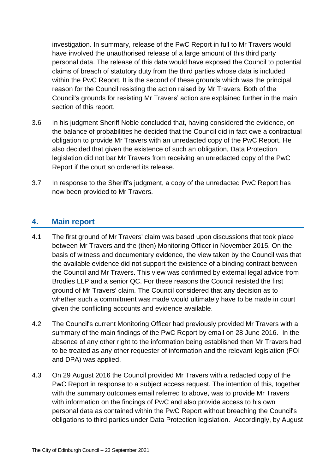investigation. In summary, release of the PwC Report in full to Mr Travers would have involved the unauthorised release of a large amount of this third party personal data. The release of this data would have exposed the Council to potential claims of breach of statutory duty from the third parties whose data is included within the PwC Report. It is the second of these grounds which was the principal reason for the Council resisting the action raised by Mr Travers. Both of the Council's grounds for resisting Mr Travers' action are explained further in the main section of this report.

- 3.6 In his judgment Sheriff Noble concluded that, having considered the evidence, on the balance of probabilities he decided that the Council did in fact owe a contractual obligation to provide Mr Travers with an unredacted copy of the PwC Report. He also decided that given the existence of such an obligation, Data Protection legislation did not bar Mr Travers from receiving an unredacted copy of the PwC Report if the court so ordered its release.
- 3.7 In response to the Sheriff's judgment, a copy of the unredacted PwC Report has now been provided to Mr Travers.

### **4. Main report**

- 4.1 The first ground of Mr Travers' claim was based upon discussions that took place between Mr Travers and the (then) Monitoring Officer in November 2015. On the basis of witness and documentary evidence, the view taken by the Council was that the available evidence did not support the existence of a binding contract between the Council and Mr Travers. This view was confirmed by external legal advice from Brodies LLP and a senior QC. For these reasons the Council resisted the first ground of Mr Travers' claim. The Council considered that any decision as to whether such a commitment was made would ultimately have to be made in court given the conflicting accounts and evidence available.
- 4.2 The Council's current Monitoring Officer had previously provided Mr Travers with a summary of the main findings of the PwC Report by email on 28 June 2016. In the absence of any other right to the information being established then Mr Travers had to be treated as any other requester of information and the relevant legislation (FOI and DPA) was applied.
- 4.3 On 29 August 2016 the Council provided Mr Travers with a redacted copy of the PwC Report in response to a subiect access request. The intention of this, together with the summary outcomes email referred to above, was to provide Mr Travers with information on the findings of PwC and also provide access to his own personal data as contained within the PwC Report without breaching the Council's obligations to third parties under Data Protection legislation. Accordingly, by August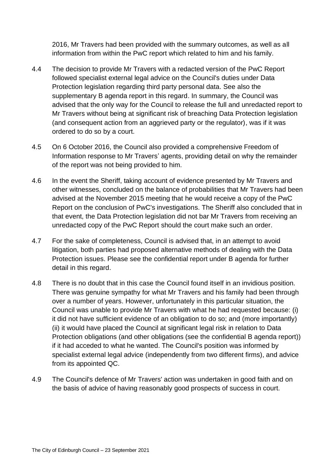2016, Mr Travers had been provided with the summary outcomes, as well as all information from within the PwC report which related to him and his family.

- 4.4 The decision to provide Mr Travers with a redacted version of the PwC Report followed specialist external legal advice on the Council's duties under Data Protection legislation regarding third party personal data. See also the supplementary B agenda report in this regard. In summary, the Council was advised that the only way for the Council to release the full and unredacted report to Mr Travers without being at significant risk of breaching Data Protection legislation (and consequent action from an aggrieved party or the regulator), was if it was ordered to do so by a court.
- 4.5 On 6 October 2016, the Council also provided a comprehensive Freedom of Information response to Mr Travers' agents, providing detail on why the remainder of the report was not being provided to him.
- 4.6 In the event the Sheriff, taking account of evidence presented by Mr Travers and other witnesses, concluded on the balance of probabilities that Mr Travers had been advised at the November 2015 meeting that he would receive a copy of the PwC Report on the conclusion of PwC's investigations. The Sheriff also concluded that in that event, the Data Protection legislation did not bar Mr Travers from receiving an unredacted copy of the PwC Report should the court make such an order.
- 4.7 For the sake of completeness, Council is advised that, in an attempt to avoid litigation, both parties had proposed alternative methods of dealing with the Data Protection issues. Please see the confidential report under B agenda for further detail in this regard.
- 4.8 There is no doubt that in this case the Council found itself in an invidious position. There was genuine sympathy for what Mr Travers and his family had been through over a number of years. However, unfortunately in this particular situation, the Council was unable to provide Mr Travers with what he had requested because: (i) it did not have sufficient evidence of an obligation to do so; and (more importantly) (ii) it would have placed the Council at significant legal risk in relation to Data Protection obligations (and other obligations (see the confidential B agenda report)) if it had acceded to what he wanted. The Council's position was informed by specialist external legal advice (independently from two different firms), and advice from its appointed QC.
- 4.9 The Council's defence of Mr Travers' action was undertaken in good faith and on the basis of advice of having reasonably good prospects of success in court.